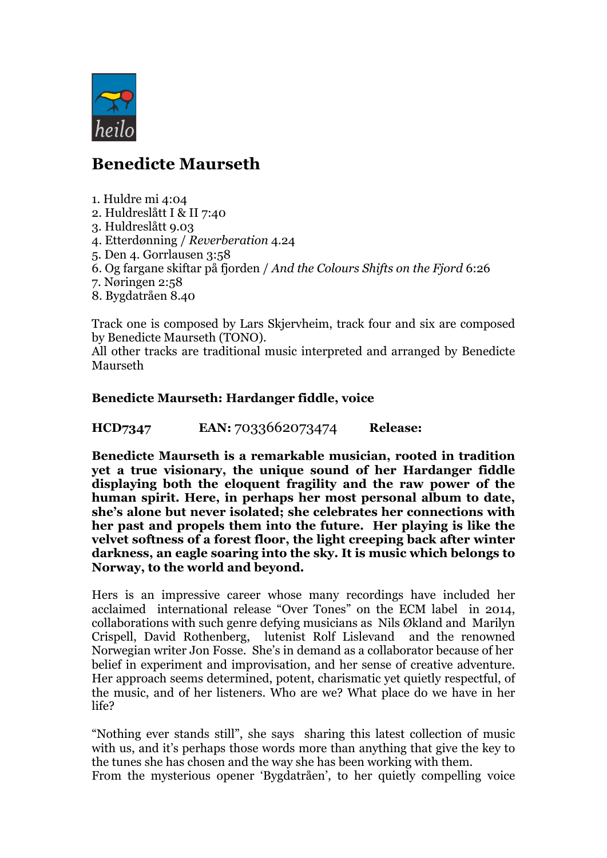

## **Benedicte Maurseth**

- 1. Huldre mi 4:04
- 2. Huldreslått I & II 7:40
- 3. Huldreslått 9.03
- 4. Etterdønning / *Reverberation* 4.24
- 5. Den 4. Gorrlausen 3:58
- 6. Og fargane skiftar på fjorden / *And the Colours Shifts on the Fjord* 6:26
- 7. Nøringen 2:58
- 8. Bygdatråen 8.40

Track one is composed by Lars Skjervheim, track four and six are composed by Benedicte Maurseth (TONO).

All other tracks are traditional music interpreted and arranged by Benedicte Maurseth

## **Benedicte Maurseth: Hardanger fiddle, voice**

**HCD7347 EAN:** 7033662073474 **Release:** 

**Benedicte Maurseth is a remarkable musician, rooted in tradition yet a true visionary, the unique sound of her Hardanger fiddle displaying both the eloquent fragility and the raw power of the human spirit. Here, in perhaps her most personal album to date, she's alone but never isolated; she celebrates her connections with her past and propels them into the future. Her playing is like the velvet softness of a forest floor, the light creeping back after winter darkness, an eagle soaring into the sky. It is music which belongs to Norway, to the world and beyond.**

Hers is an impressive career whose many recordings have included her acclaimed international release "Over Tones" on the ECM label in 2014, collaborations with such genre defying musicians as Nils Økland and Marilyn Crispell, David Rothenberg, lutenist Rolf Lislevand and the renowned Norwegian writer Jon Fosse. She's in demand as a collaborator because of her belief in experiment and improvisation, and her sense of creative adventure. Her approach seems determined, potent, charismatic yet quietly respectful, of the music, and of her listeners. Who are we? What place do we have in her life?

"Nothing ever stands still", she says sharing this latest collection of music with us, and it's perhaps those words more than anything that give the key to the tunes she has chosen and the way she has been working with them. From the mysterious opener 'Bygdatråen', to her quietly compelling voice